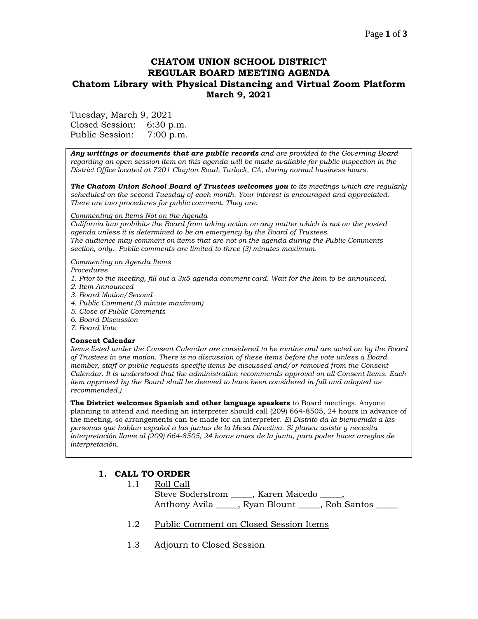### Page **1** of **3**

# **CHATOM UNION SCHOOL DISTRICT REGULAR BOARD MEETING AGENDA Chatom Library with Physical Distancing and Virtual Zoom Platform March 9, 2021**

Tuesday, March 9, 2021 Closed Session: 6:30 p.m. Public Session: 7:00 p.m.

*Any writings or documents that are public records and are provided to the Governing Board regarding an open session item on this agenda will be made available for public inspection in the District Office located at 7201 Clayton Road, Turlock, CA, during normal business hours.*

*The Chatom Union School Board of Trustees welcomes you to its meetings which are regularly scheduled on the second Tuesday of each month. Your interest is encouraged and appreciated. There are two procedures for public comment. They are:*

#### *Commenting on Items Not on the Agenda*

*California law prohibits the Board from taking action on any matter which is not on the posted agenda unless it is determined to be an emergency by the Board of Trustees. The audience may comment on items that are not on the agenda during the Public Comments section, only. Public comments are limited to three (3) minutes maximum.*

#### *Commenting on Agenda Items*

*Procedures* 

- *1. Prior to the meeting, fill out a 3x5 agenda comment card. Wait for the Item to be announced.*
- *2. Item Announced*
- *3. Board Motion/Second*
- *4. Public Comment (3 minute maximum)*
- *5. Close of Public Comments*
- *6. Board Discussion*
- *7. Board Vote*

#### **Consent Calendar**

*Items listed under the Consent Calendar are considered to be routine and are acted on by the Board of Trustees in one motion. There is no discussion of these items before the vote unless a Board member, staff or public requests specific items be discussed and/or removed from the Consent Calendar. It is understood that the administration recommends approval on all Consent Items. Each item approved by the Board shall be deemed to have been considered in full and adopted as recommended.)*

**The District welcomes Spanish and other language speakers** to Board meetings. Anyone planning to attend and needing an interpreter should call (209) 664-8505, 24 hours in advance of the meeting, so arrangements can be made for an interpreter. *El Distrito da la bienvenida a las personas que hablan español a las juntas de la Mesa Directiva. Si planea asistir y necesita interpretación llame al (209) 664-8505, 24 horas antes de la junta, para poder hacer arreglos de interpretación.*

## **1. CALL TO ORDER**

- 1.1 Roll Call Steve Soderstrom \_\_\_\_\_, Karen Macedo \_\_\_\_\_, Anthony Avila \_\_\_\_\_, Ryan Blount \_\_\_\_\_\_, Rob Santos
- 1.2 Public Comment on Closed Session Items
- 1.3 Adjourn to Closed Session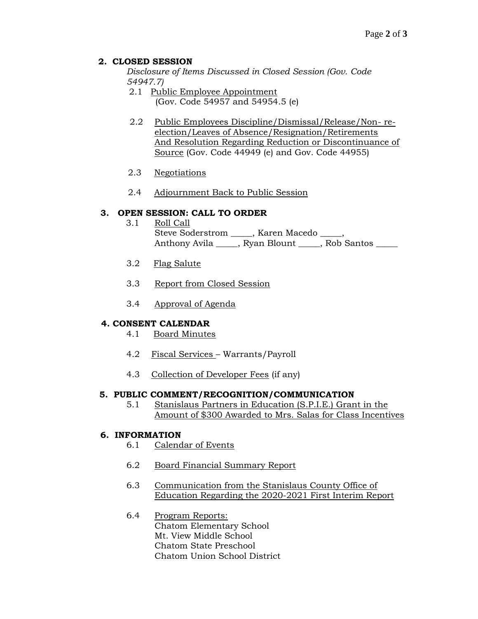### **2. CLOSED SESSION**

*Disclosure of Items Discussed in Closed Session (Gov. Code 54947.7)*

- 2.1 Public Employee Appointment (Gov. Code 54957 and 54954.5 (e)
- 2.2 Public Employees Discipline/Dismissal/Release/Non- reelection/Leaves of Absence/Resignation/Retirements And Resolution Regarding Reduction or Discontinuance of Source (Gov. Code 44949 (e) and Gov. Code 44955)
- 2.3 Negotiations
- 2.4 Adjournment Back to Public Session

### **3. OPEN SESSION: CALL TO ORDER**

- 3.1 Roll Call Steve Soderstrom \_\_\_\_, Karen Macedo \_\_\_\_, Anthony Avila \_\_\_\_, Ryan Blount \_\_\_\_, Rob Santos \_\_\_\_
- 3.2 Flag Salute
- 3.3 Report from Closed Session
- 3.4 Approval of Agenda

### **4. CONSENT CALENDAR**

- 4.1 Board Minutes
- 4.2 Fiscal Services Warrants/Payroll
- 4.3 Collection of Developer Fees (if any)

### **5. PUBLIC COMMENT/RECOGNITION/COMMUNICATION**

5.1 Stanislaus Partners in Education (S.P.I.E.) Grant in the Amount of \$300 Awarded to Mrs. Salas for Class Incentives

### **6. INFORMATION**

- 6.1 Calendar of Events
- 6.2 Board Financial Summary Report
- 6.3 Communication from the Stanislaus County Office of Education Regarding the 2020-2021 First Interim Report
- 6.4 Program Reports: Chatom Elementary School Mt. View Middle School Chatom State Preschool Chatom Union School District